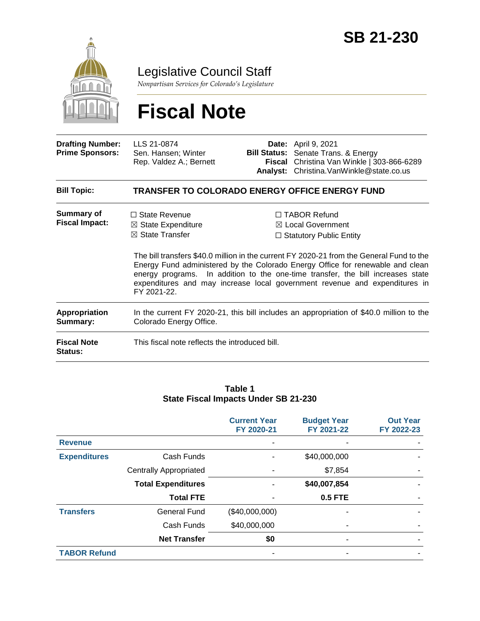

Legislative Council Staff

*Nonpartisan Services for Colorado's Legislature*

# **Fiscal Note**

| <b>Drafting Number:</b><br><b>Prime Sponsors:</b> | LLS 21-0874<br>Sen. Hansen; Winter<br>Rep. Valdez A.; Bernett                                                      |  | <b>Date:</b> April 9, 2021<br><b>Bill Status:</b> Senate Trans. & Energy<br>Fiscal Christina Van Winkle   303-866-6289<br>Analyst: Christina. Van Winkle@state.co.us                                                                                                                                                                                                                                                                 |  |  |  |
|---------------------------------------------------|--------------------------------------------------------------------------------------------------------------------|--|--------------------------------------------------------------------------------------------------------------------------------------------------------------------------------------------------------------------------------------------------------------------------------------------------------------------------------------------------------------------------------------------------------------------------------------|--|--|--|
| <b>Bill Topic:</b>                                | <b>TRANSFER TO COLORADO ENERGY OFFICE ENERGY FUND</b>                                                              |  |                                                                                                                                                                                                                                                                                                                                                                                                                                      |  |  |  |
| <b>Summary of</b><br><b>Fiscal Impact:</b>        | $\Box$ State Revenue<br>$\boxtimes$ State Expenditure<br>$\boxtimes$ State Transfer<br>FY 2021-22.                 |  | $\Box$ TABOR Refund<br>$\boxtimes$ Local Government<br>$\Box$ Statutory Public Entity<br>The bill transfers \$40.0 million in the current FY 2020-21 from the General Fund to the<br>Energy Fund administered by the Colorado Energy Office for renewable and clean<br>energy programs. In addition to the one-time transfer, the bill increases state<br>expenditures and may increase local government revenue and expenditures in |  |  |  |
| Appropriation<br>Summary:                         | In the current FY 2020-21, this bill includes an appropriation of \$40.0 million to the<br>Colorado Energy Office. |  |                                                                                                                                                                                                                                                                                                                                                                                                                                      |  |  |  |
| <b>Fiscal Note</b><br>Status:                     | This fiscal note reflects the introduced bill.                                                                     |  |                                                                                                                                                                                                                                                                                                                                                                                                                                      |  |  |  |

#### **Table 1 State Fiscal Impacts Under SB 21-230**

|                     |                               | <b>Current Year</b><br>FY 2020-21 | <b>Budget Year</b><br>FY 2021-22 | <b>Out Year</b><br>FY 2022-23 |
|---------------------|-------------------------------|-----------------------------------|----------------------------------|-------------------------------|
| <b>Revenue</b>      |                               |                                   |                                  |                               |
| <b>Expenditures</b> | Cash Funds                    |                                   | \$40,000,000                     |                               |
|                     | <b>Centrally Appropriated</b> |                                   | \$7,854                          |                               |
|                     | <b>Total Expenditures</b>     |                                   | \$40,007,854                     |                               |
|                     | <b>Total FTE</b>              |                                   | <b>0.5 FTE</b>                   |                               |
| <b>Transfers</b>    | <b>General Fund</b>           | (\$40,000,000)                    |                                  |                               |
|                     | Cash Funds                    | \$40,000,000                      |                                  |                               |
|                     | <b>Net Transfer</b>           | \$0                               | ۰                                |                               |
| <b>TABOR Refund</b> |                               |                                   |                                  |                               |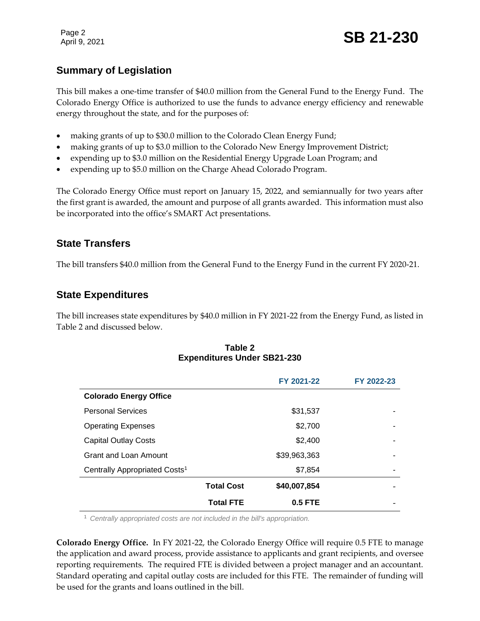Page 2

## Page 2<br>April 9, 2021 **SB 21-230**

### **Summary of Legislation**

This bill makes a one-time transfer of \$40.0 million from the General Fund to the Energy Fund. The Colorado Energy Office is authorized to use the funds to advance energy efficiency and renewable energy throughout the state, and for the purposes of:

- making grants of up to \$30.0 million to the Colorado Clean Energy Fund;
- making grants of up to \$3.0 million to the Colorado New Energy Improvement District;
- expending up to \$3.0 million on the Residential Energy Upgrade Loan Program; and
- expending up to \$5.0 million on the Charge Ahead Colorado Program.

The Colorado Energy Office must report on January 15, 2022, and semiannually for two years after the first grant is awarded, the amount and purpose of all grants awarded. This information must also be incorporated into the office's SMART Act presentations.

### **State Transfers**

The bill transfers \$40.0 million from the General Fund to the Energy Fund in the current FY 2020-21.

### **State Expenditures**

The bill increases state expenditures by \$40.0 million in FY 2021-22 from the Energy Fund, as listed in Table 2 and discussed below.

|                                           |                   | FY 2021-22   | FY 2022-23 |
|-------------------------------------------|-------------------|--------------|------------|
| <b>Colorado Energy Office</b>             |                   |              |            |
| <b>Personal Services</b>                  |                   | \$31,537     |            |
| <b>Operating Expenses</b>                 |                   | \$2,700      | ۰          |
| <b>Capital Outlay Costs</b>               |                   | \$2,400      | ۰          |
| <b>Grant and Loan Amount</b>              |                   | \$39,963,363 |            |
| Centrally Appropriated Costs <sup>1</sup> |                   | \$7,854      | ۰          |
|                                           | <b>Total Cost</b> | \$40,007,854 |            |
|                                           | <b>Total FTE</b>  | $0.5$ FTE    |            |

**Table 2 Expenditures Under SB21-230**

<sup>1</sup> *Centrally appropriated costs are not included in the bill's appropriation.*

**Colorado Energy Office.** In FY 2021-22, the Colorado Energy Office will require 0.5 FTE to manage the application and award process, provide assistance to applicants and grant recipients, and oversee reporting requirements. The required FTE is divided between a project manager and an accountant. Standard operating and capital outlay costs are included for this FTE. The remainder of funding will be used for the grants and loans outlined in the bill.